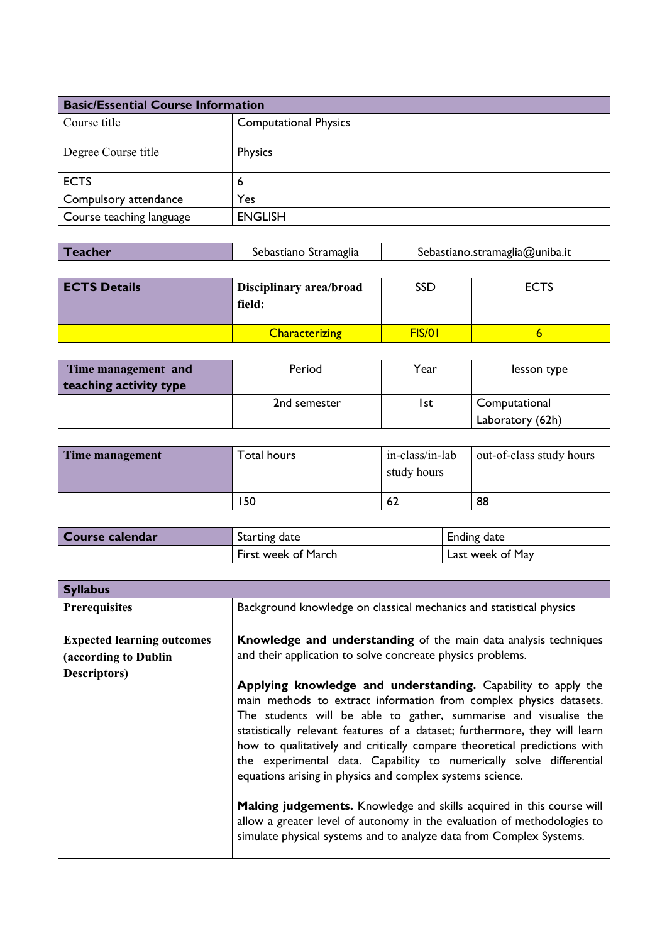| <b>Basic/Essential Course Information</b> |                              |  |
|-------------------------------------------|------------------------------|--|
| Course title                              | <b>Computational Physics</b> |  |
| Degree Course title                       | <b>Physics</b>               |  |
| <b>ECTS</b>                               | b                            |  |
| Compulsory attendance                     | Yes                          |  |
| Course teaching language                  | <b>ENGLISH</b>               |  |

| <b>Teacher</b> | Sebastiano Stramaglia | Sebastiano.stramaglia@uniba.it |
|----------------|-----------------------|--------------------------------|
|                |                       |                                |

| <b>ECTS Details</b> | Disciplinary area/broad<br>field: | SSD    | <b>ECTS</b> |
|---------------------|-----------------------------------|--------|-------------|
|                     | <b>Characterizing</b>             | FIS/01 |             |

| Time management and<br>teaching activity type | Period       | Year | lesson type                       |
|-----------------------------------------------|--------------|------|-----------------------------------|
|                                               | 2nd semester | l st | Computational<br>Laboratory (62h) |

| Time management | Гоtal hours | in-class/in-lab<br>study hours | out-of-class study hours |
|-----------------|-------------|--------------------------------|--------------------------|
|                 | 150         | 62                             | 88                       |

| Course calendar | Starting date       | <b>Ending date</b> |
|-----------------|---------------------|--------------------|
|                 | First week of March | Last week of May   |

| <b>Syllabus</b>                                                                   |                                                                                                                                                                                                                                                                                                                                                                                                                                                                                                                                                                                                                                                                                                                        |
|-----------------------------------------------------------------------------------|------------------------------------------------------------------------------------------------------------------------------------------------------------------------------------------------------------------------------------------------------------------------------------------------------------------------------------------------------------------------------------------------------------------------------------------------------------------------------------------------------------------------------------------------------------------------------------------------------------------------------------------------------------------------------------------------------------------------|
| <b>Prerequisites</b>                                                              | Background knowledge on classical mechanics and statistical physics                                                                                                                                                                                                                                                                                                                                                                                                                                                                                                                                                                                                                                                    |
| <b>Expected learning outcomes</b><br>(according to Dublin<br><b>Descriptors</b> ) | Knowledge and understanding of the main data analysis techniques<br>and their application to solve concreate physics problems.<br>Applying knowledge and understanding. Capability to apply the<br>main methods to extract information from complex physics datasets.<br>The students will be able to gather, summarise and visualise the<br>statistically relevant features of a dataset; furthermore, they will learn<br>how to qualitatively and critically compare theoretical predictions with<br>the experimental data. Capability to numerically solve differential<br>equations arising in physics and complex systems science.<br><b>Making judgements.</b> Knowledge and skills acquired in this course will |
|                                                                                   | allow a greater level of autonomy in the evaluation of methodologies to<br>simulate physical systems and to analyze data from Complex Systems.                                                                                                                                                                                                                                                                                                                                                                                                                                                                                                                                                                         |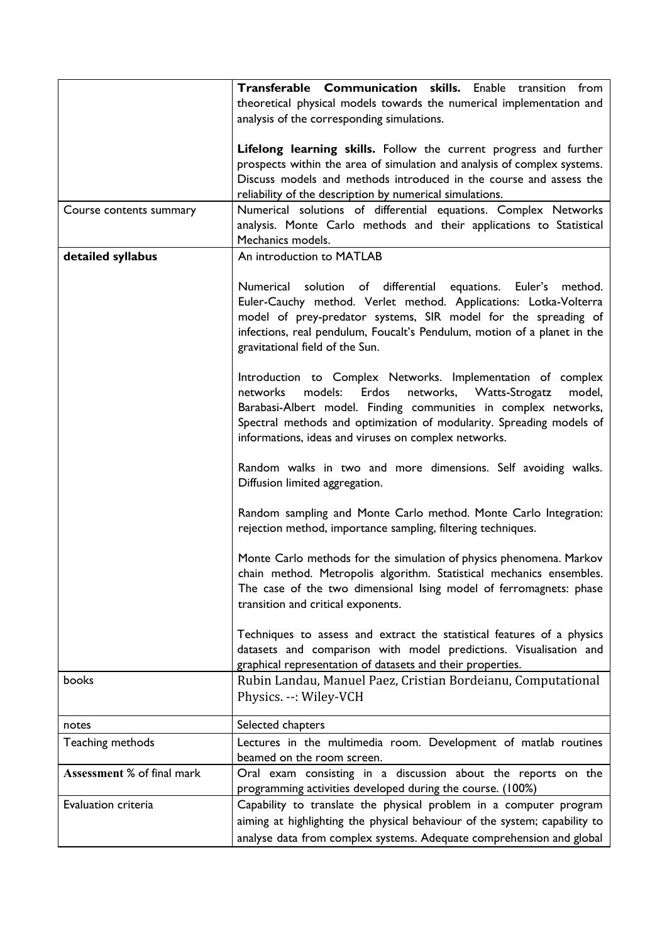|                            | Transferable Communication skills. Enable transition from<br>theoretical physical models towards the numerical implementation and                                                                                                                                                                                                 |
|----------------------------|-----------------------------------------------------------------------------------------------------------------------------------------------------------------------------------------------------------------------------------------------------------------------------------------------------------------------------------|
|                            | analysis of the corresponding simulations.                                                                                                                                                                                                                                                                                        |
|                            | Lifelong learning skills. Follow the current progress and further<br>prospects within the area of simulation and analysis of complex systems.<br>Discuss models and methods introduced in the course and assess the<br>reliability of the description by numerical simulations.                                                   |
| Course contents summary    | Numerical solutions of differential equations. Complex Networks<br>analysis. Monte Carlo methods and their applications to Statistical<br>Mechanics models.                                                                                                                                                                       |
| detailed syllabus          | An introduction to MATLAB                                                                                                                                                                                                                                                                                                         |
|                            | Numerical solution of differential equations. Euler's method.<br>Euler-Cauchy method. Verlet method. Applications: Lotka-Volterra<br>model of prey-predator systems, SIR model for the spreading of<br>infections, real pendulum, Foucalt's Pendulum, motion of a planet in the<br>gravitational field of the Sun.                |
|                            | Introduction to Complex Networks. Implementation of complex<br>networks, Watts-Strogatz<br>networks<br>models: Erdos<br>model,<br>Barabasi-Albert model. Finding communities in complex networks,<br>Spectral methods and optimization of modularity. Spreading models of<br>informations, ideas and viruses on complex networks. |
|                            | Random walks in two and more dimensions. Self avoiding walks.<br>Diffusion limited aggregation.                                                                                                                                                                                                                                   |
|                            | Random sampling and Monte Carlo method. Monte Carlo Integration:<br>rejection method, importance sampling, filtering techniques.                                                                                                                                                                                                  |
|                            | Monte Carlo methods for the simulation of physics phenomena. Markov<br>chain method. Metropolis algorithm. Statistical mechanics ensembles.<br>The case of the two dimensional Ising model of ferromagnets: phase<br>transition and critical exponents.                                                                           |
|                            | Techniques to assess and extract the statistical features of a physics<br>datasets and comparison with model predictions. Visualisation and<br>graphical representation of datasets and their properties.                                                                                                                         |
| books                      | Rubin Landau, Manuel Paez, Cristian Bordeianu, Computational<br>Physics. --: Wiley-VCH                                                                                                                                                                                                                                            |
| notes                      | Selected chapters                                                                                                                                                                                                                                                                                                                 |
| Teaching methods           | Lectures in the multimedia room. Development of matlab routines<br>beamed on the room screen.                                                                                                                                                                                                                                     |
| Assessment % of final mark | Oral exam consisting in a discussion about the reports on the<br>programming activities developed during the course. (100%)                                                                                                                                                                                                       |
| Evaluation criteria        | Capability to translate the physical problem in a computer program<br>aiming at highlighting the physical behaviour of the system; capability to<br>analyse data from complex systems. Adequate comprehension and global                                                                                                          |